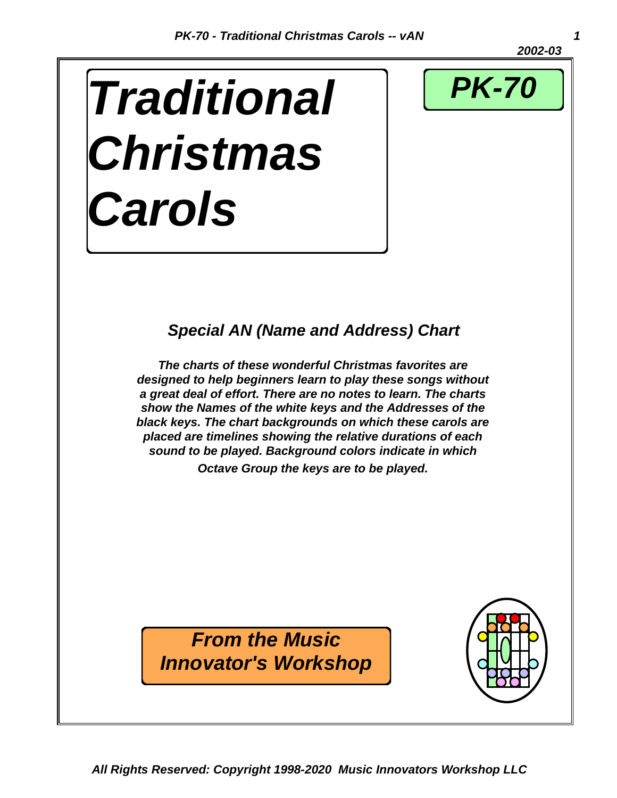

# *Traditional Christmas Carols*

*Special AN (Name and Address) Chart*

*The charts of these wonderful Christmas favorites are designed to help beginners learn to play these songs without a great deal of effort. There are no notes to learn. The charts show the Names of the white keys and the Addresses of the black keys. The chart backgrounds on which these carols are placed are timelines showing the relative durations of each sound to be played. Background colors indicate in which*

*Octave Group the keys are to be played.*



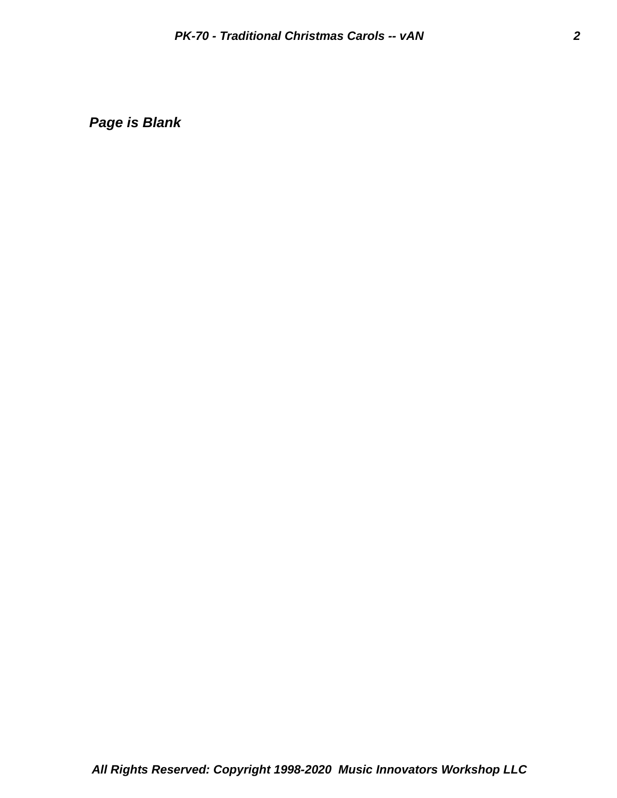*Page is Blank*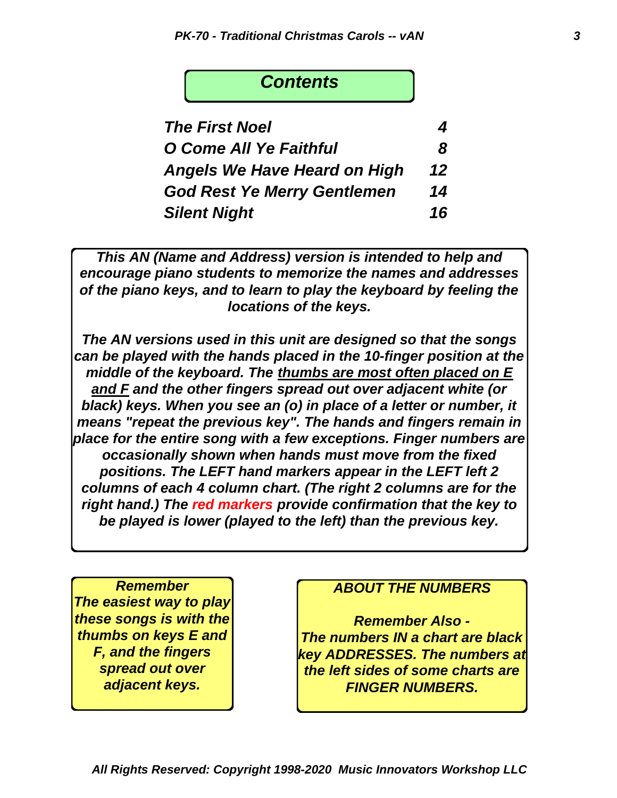#### *Contents*

| <b>The First Noel</b>               |    |
|-------------------------------------|----|
| O Come All Ye Faithful              | 8  |
| <b>Angels We Have Heard on High</b> | 12 |
| <b>God Rest Ye Merry Gentlemen</b>  | 14 |
| <b>Silent Night</b>                 | 16 |

*This AN (Name and Address) version is intended to help and encourage piano students to memorize the names and addresses of the piano keys, and to learn to play the keyboard by feeling the locations of the keys.*

*The AN versions used in this unit are designed so that the songs can be played with the hands placed in the 10-finger position at the middle of the keyboard. The thumbs are most often placed on E and F and the other fingers spread out over adjacent white (or black) keys. When you see an (o) in place of a letter or number, it means "repeat the previous key". The hands and fingers remain in place for the entire song with a few exceptions. Finger numbers are occasionally shown when hands must move from the fixed positions. The LEFT hand markers appear in the LEFT left 2 columns of each 4 column chart. (The right 2 columns are for the right hand.) The red markers provide confirmation that the key to be played is lower (played to the left) than the previous key.*

*Remember The easiest way to play these songs is with the thumbs on keys E and F, and the fingers spread out over adjacent keys.*

#### *ABOUT THE NUMBERS*

*Remember Also - The numbers IN a chart are black key ADDRESSES. The numbers at the left sides of some charts are FINGER NUMBERS.*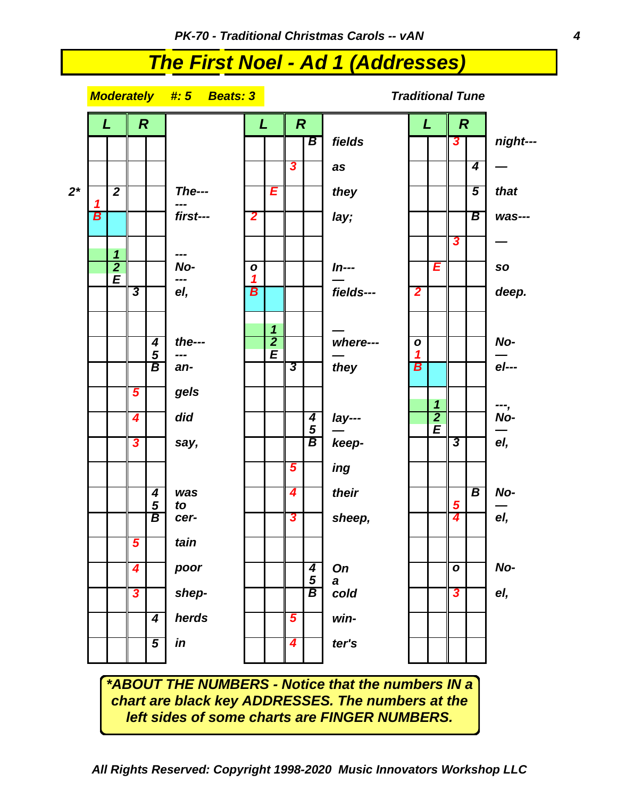## **The First Noel - Ad 1 (Addresses)**



left sides of some charts are FINGER NUMBERS.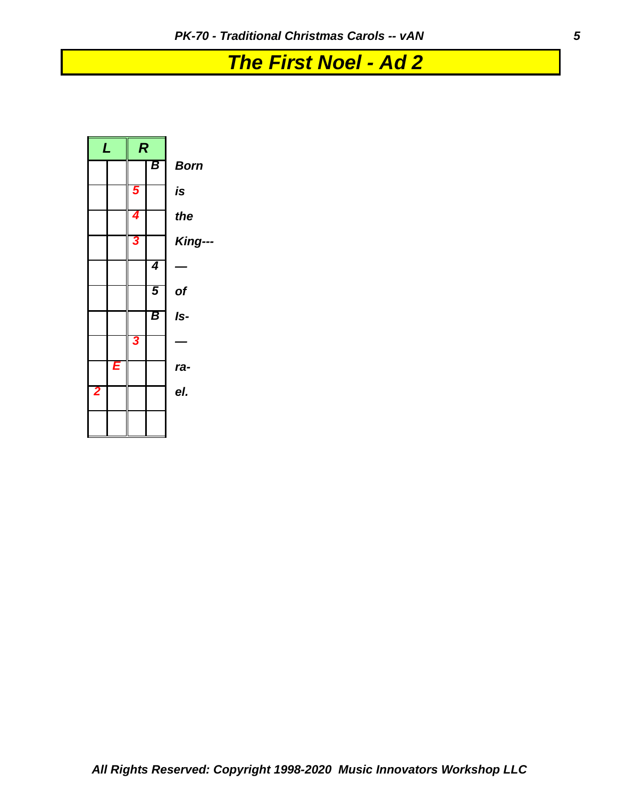## The First Noel - Ad 2

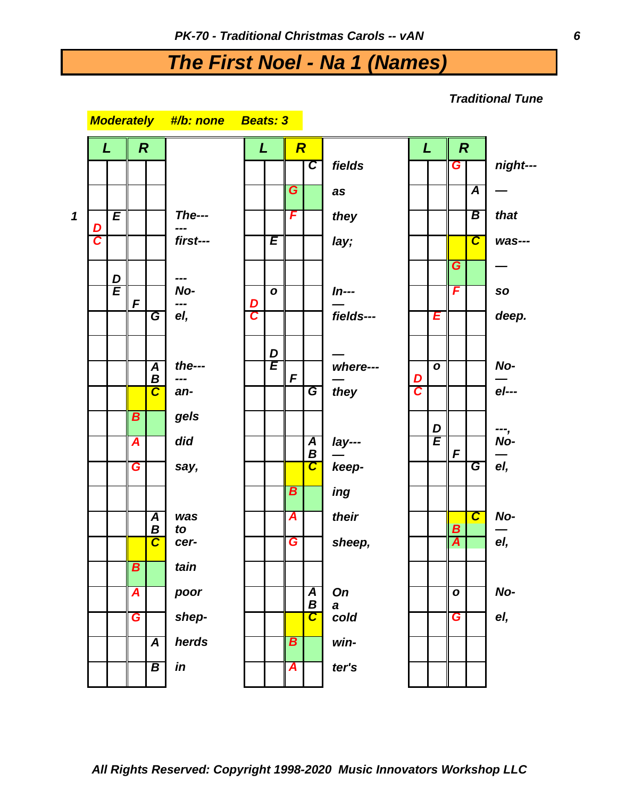$\boldsymbol{\mathcal{L}}$ 

#### **The First Noel - Na 1 (Names)**

**Moderately** #/b: none **Beats: 3**  $\mathbf{L}$  $\overline{R}$ L  $\overline{R}$ L  $\overline{R}$ fields night--- $\overline{C}$ G  $\overline{\mathsf{A}}$ G as  $\overline{E}$  $The-$ they  $\boldsymbol{B}$ that F D first---C Έ lay;  $\overline{c}$  $was--$ G  $\frac{D}{E}$ No- $\overline{\mathbf{o}}$  $In--$ F **SO**  $\mathbf{F}$ ---D fields--el, C deep. G E D  $\overline{E}$  $\boldsymbol{A}$ the- $$ where--- $\mathbf{o}$ No- $\boldsymbol{B}$  $\boldsymbol{F}$ D -- $el- \overline{\mathcal{C}}$ C **G**  $an$ they gels B D ---,  $\bar{\bar{E}}$ No- $\overline{A}$ A did lay--- $\boldsymbol{B}$  $\mathbf F$  $\overline{C}$ el, keep-G say, G B ing was their  $\overline{\mathbf{C}}$ No-A A B  $\overline{B}$ to el,  $\overline{\textbf{C}}$ cersheep,  $\boldsymbol{A}$ G  $\overline{B}$ tain No- $\overline{\mathsf{A}}$  $\overline{A}$ On  $\overline{\mathbf{o}}$ poor  $\overline{B}$  $\mathbf{a}$ el, shep- $\overline{\textbf{C}}$ cold G G  $\overline{A}$ herds B win- $\boldsymbol{B}$ in ter's A

**Traditional Tune**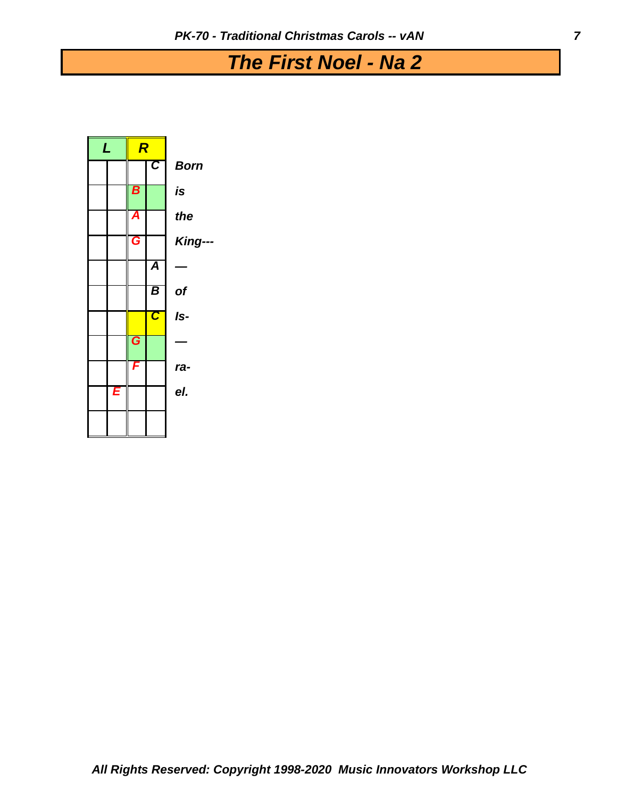### **The First Noel - Na 2**

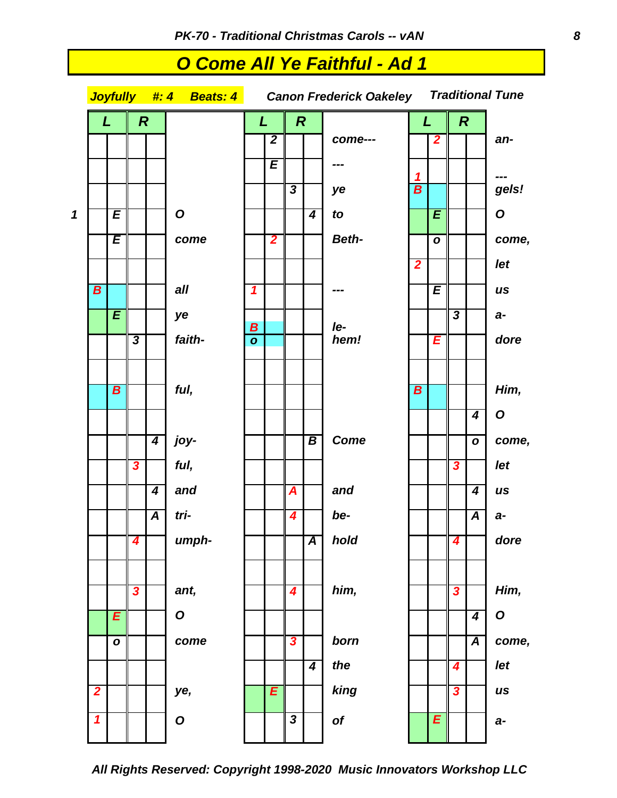

All Rights Reserved: Copyright 1998-2020 Music Innovators Workshop LLC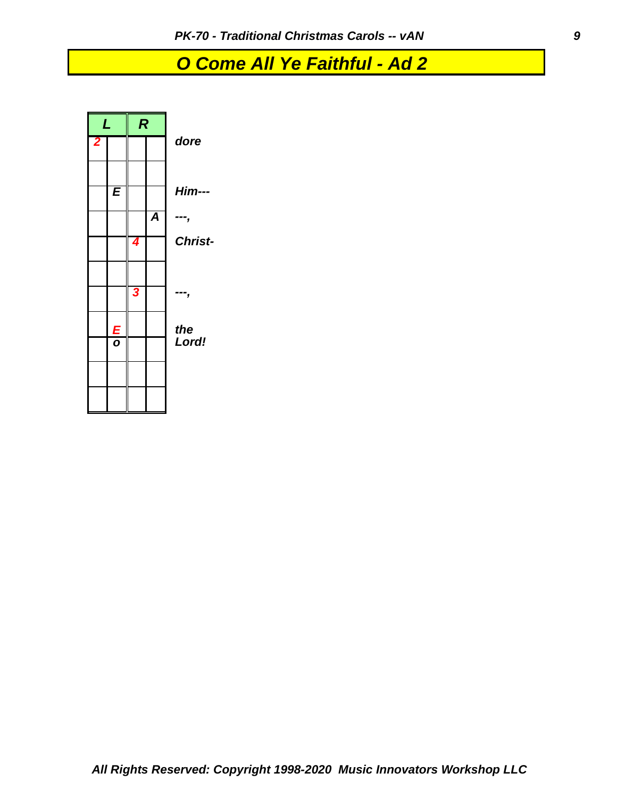#### O Come All Ye Faithful - Ad 2

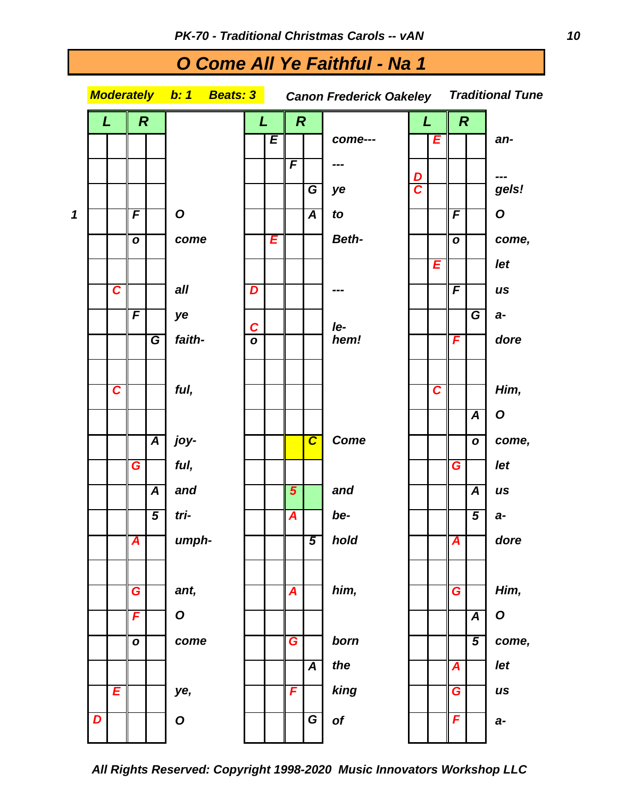

All Rights Reserved: Copyright 1998-2020 Music Innovators Workshop LLC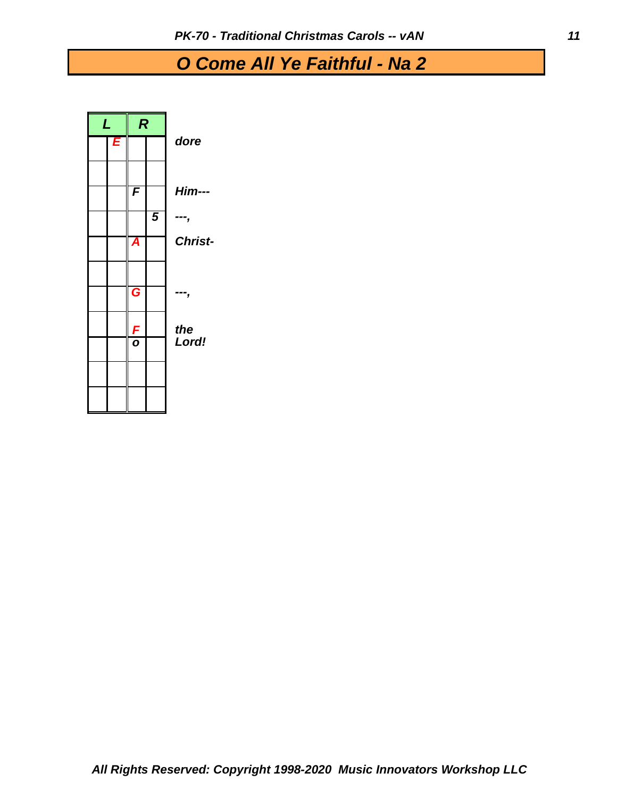#### O Come All Ye Faithful - Na 2

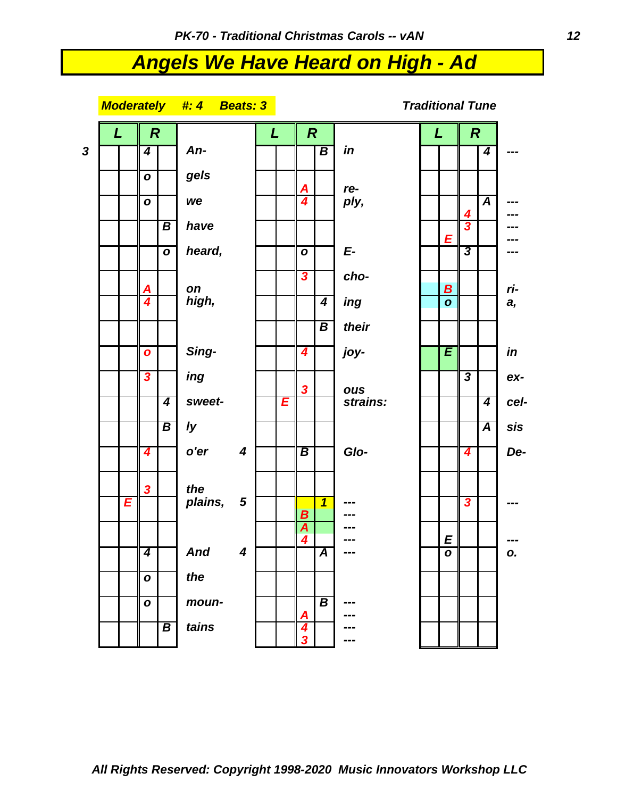## **Angels We Have Heard on High - Ad**

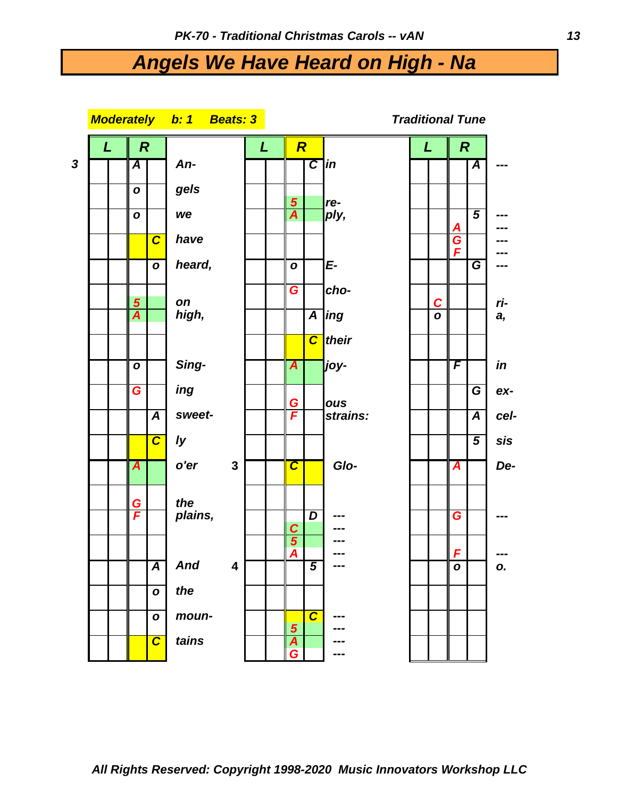#### **Angels We Have Heard on High - Na**

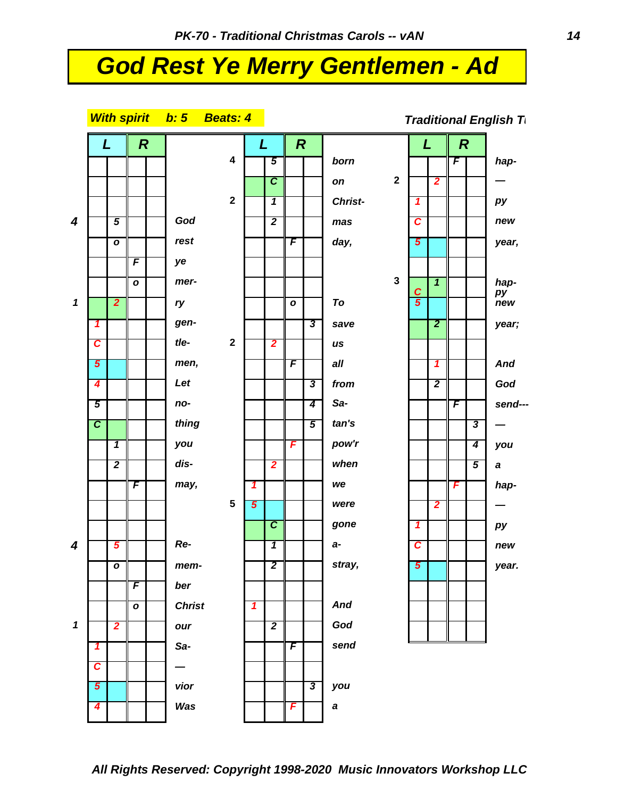## *God Rest Ye Merry Gentlemen - Ad*

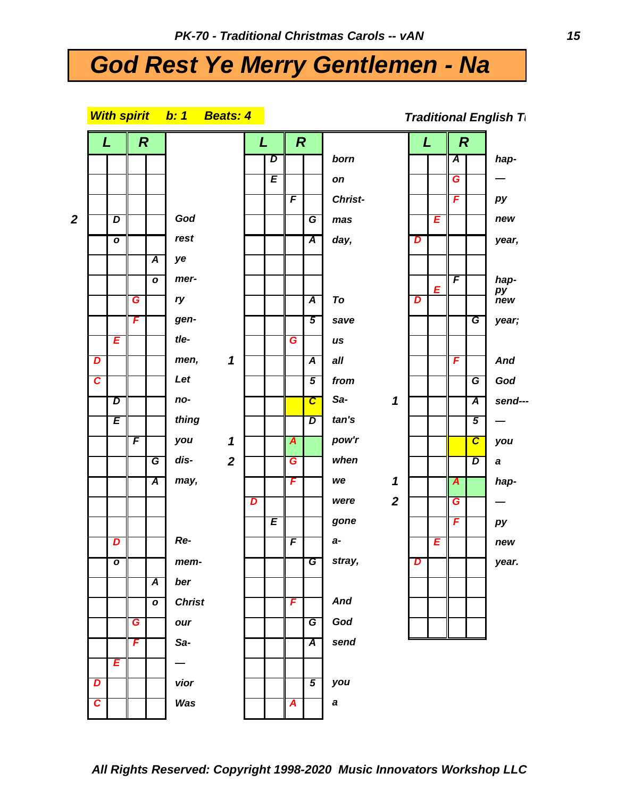## *God Rest Ye Merry Gentlemen - Na*

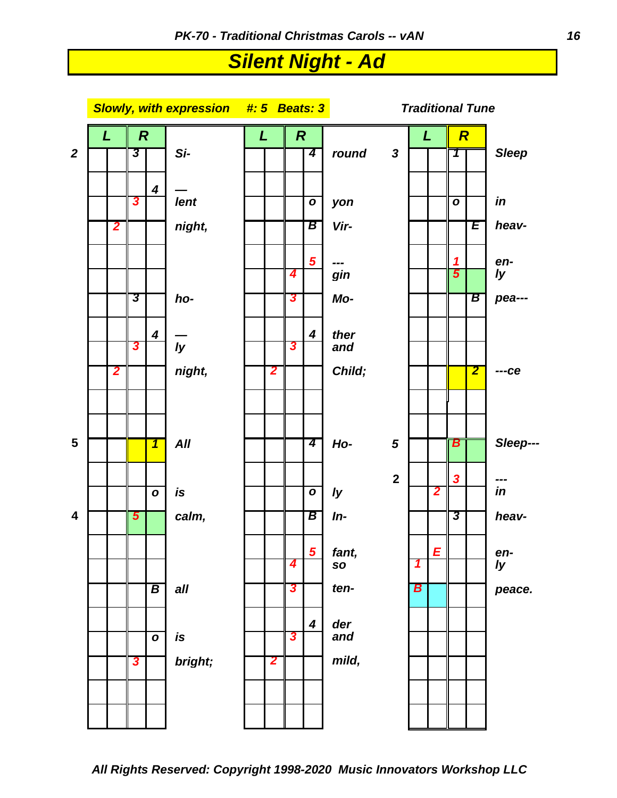## *Silent Night - Ad*

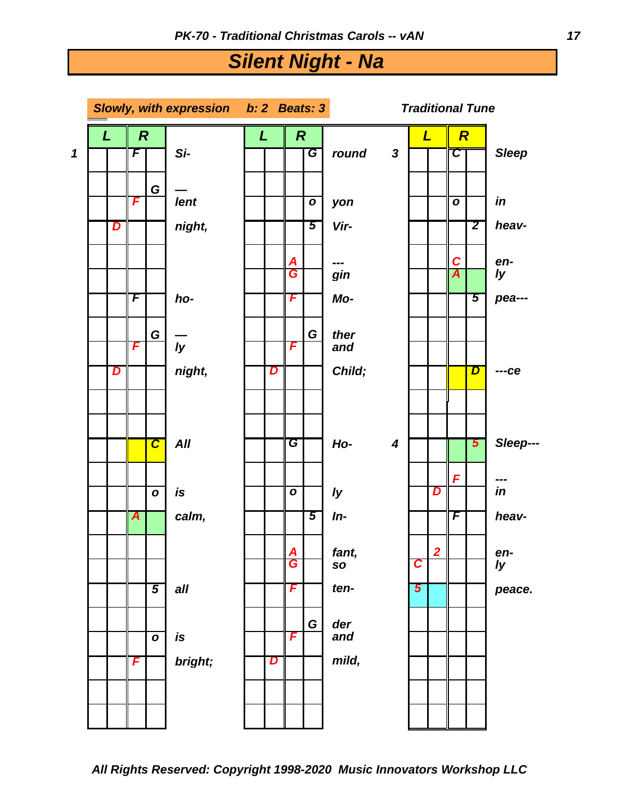## **Silent Night - Na**



All Rights Reserved: Copyright 1998-2020 Music Innovators Workshop LLC